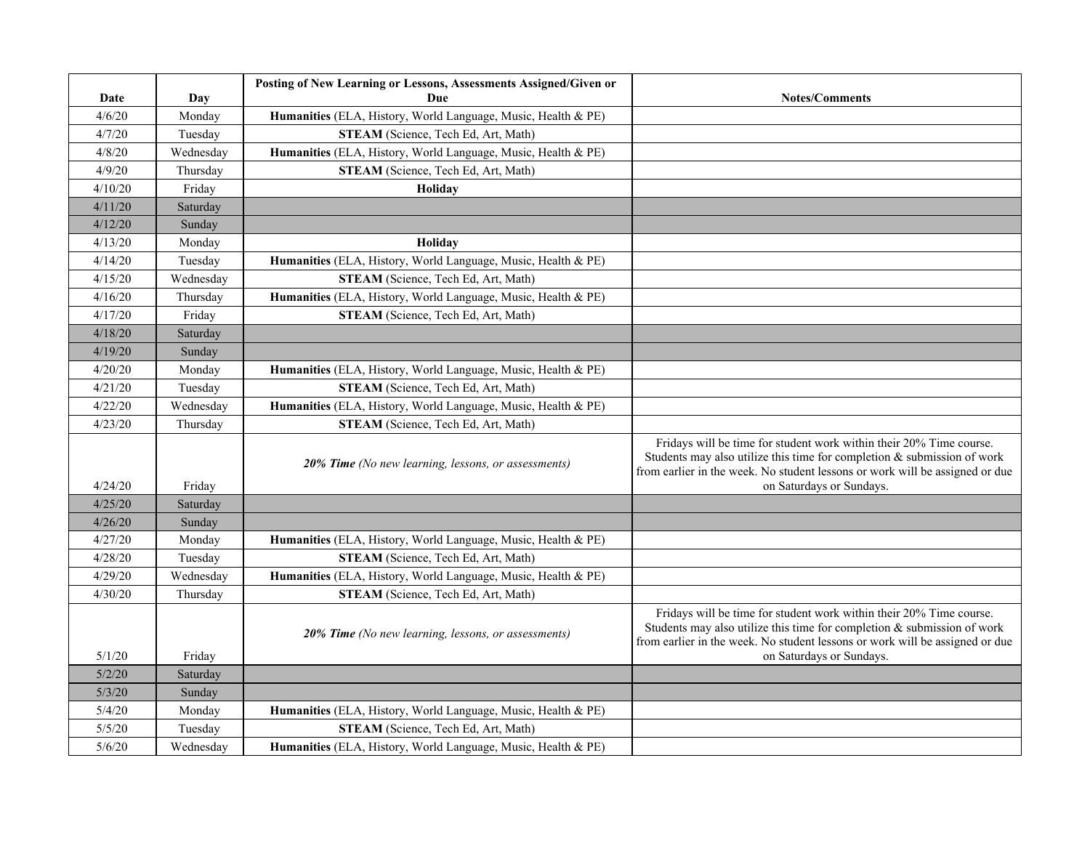| Date    | Day       | Posting of New Learning or Lessons, Assessments Assigned/Given or<br>Due | <b>Notes/Comments</b>                                                                                                                                                                                                                                         |
|---------|-----------|--------------------------------------------------------------------------|---------------------------------------------------------------------------------------------------------------------------------------------------------------------------------------------------------------------------------------------------------------|
| 4/6/20  | Monday    | Humanities (ELA, History, World Language, Music, Health & PE)            |                                                                                                                                                                                                                                                               |
| 4/7/20  | Tuesday   | STEAM (Science, Tech Ed, Art, Math)                                      |                                                                                                                                                                                                                                                               |
| 4/8/20  | Wednesday | Humanities (ELA, History, World Language, Music, Health & PE)            |                                                                                                                                                                                                                                                               |
| 4/9/20  | Thursday  | STEAM (Science, Tech Ed, Art, Math)                                      |                                                                                                                                                                                                                                                               |
| 4/10/20 | Friday    | Holiday                                                                  |                                                                                                                                                                                                                                                               |
| 4/11/20 | Saturday  |                                                                          |                                                                                                                                                                                                                                                               |
| 4/12/20 | Sunday    |                                                                          |                                                                                                                                                                                                                                                               |
| 4/13/20 | Monday    | Holiday                                                                  |                                                                                                                                                                                                                                                               |
| 4/14/20 | Tuesday   | Humanities (ELA, History, World Language, Music, Health & PE)            |                                                                                                                                                                                                                                                               |
| 4/15/20 | Wednesday | STEAM (Science, Tech Ed, Art, Math)                                      |                                                                                                                                                                                                                                                               |
| 4/16/20 | Thursday  | Humanities (ELA, History, World Language, Music, Health & PE)            |                                                                                                                                                                                                                                                               |
| 4/17/20 | Friday    | STEAM (Science, Tech Ed, Art, Math)                                      |                                                                                                                                                                                                                                                               |
| 4/18/20 | Saturday  |                                                                          |                                                                                                                                                                                                                                                               |
| 4/19/20 | Sunday    |                                                                          |                                                                                                                                                                                                                                                               |
| 4/20/20 | Monday    | Humanities (ELA, History, World Language, Music, Health & PE)            |                                                                                                                                                                                                                                                               |
| 4/21/20 | Tuesday   | STEAM (Science, Tech Ed, Art, Math)                                      |                                                                                                                                                                                                                                                               |
| 4/22/20 | Wednesday | Humanities (ELA, History, World Language, Music, Health & PE)            |                                                                                                                                                                                                                                                               |
| 4/23/20 | Thursday  | STEAM (Science, Tech Ed, Art, Math)                                      |                                                                                                                                                                                                                                                               |
| 4/24/20 | Friday    | 20% Time (No new learning, lessons, or assessments)                      | Fridays will be time for student work within their 20% Time course.<br>Students may also utilize this time for completion $\&$ submission of work<br>from earlier in the week. No student lessons or work will be assigned or due<br>on Saturdays or Sundays. |
| 4/25/20 | Saturday  |                                                                          |                                                                                                                                                                                                                                                               |
| 4/26/20 | Sunday    |                                                                          |                                                                                                                                                                                                                                                               |
| 4/27/20 | Monday    | Humanities (ELA, History, World Language, Music, Health & PE)            |                                                                                                                                                                                                                                                               |
| 4/28/20 | Tuesday   | STEAM (Science, Tech Ed, Art, Math)                                      |                                                                                                                                                                                                                                                               |
| 4/29/20 | Wednesday | Humanities (ELA, History, World Language, Music, Health & PE)            |                                                                                                                                                                                                                                                               |
| 4/30/20 | Thursday  | STEAM (Science, Tech Ed, Art, Math)                                      |                                                                                                                                                                                                                                                               |
| 5/1/20  | Friday    | 20% Time (No new learning, lessons, or assessments)                      | Fridays will be time for student work within their 20% Time course.<br>Students may also utilize this time for completion $\&$ submission of work<br>from earlier in the week. No student lessons or work will be assigned or due<br>on Saturdays or Sundays. |
| 5/2/20  | Saturday  |                                                                          |                                                                                                                                                                                                                                                               |
| 5/3/20  | Sunday    |                                                                          |                                                                                                                                                                                                                                                               |
| 5/4/20  | Monday    | Humanities (ELA, History, World Language, Music, Health & PE)            |                                                                                                                                                                                                                                                               |
| 5/5/20  | Tuesday   | STEAM (Science, Tech Ed, Art, Math)                                      |                                                                                                                                                                                                                                                               |
| 5/6/20  | Wednesday | Humanities (ELA, History, World Language, Music, Health & PE)            |                                                                                                                                                                                                                                                               |